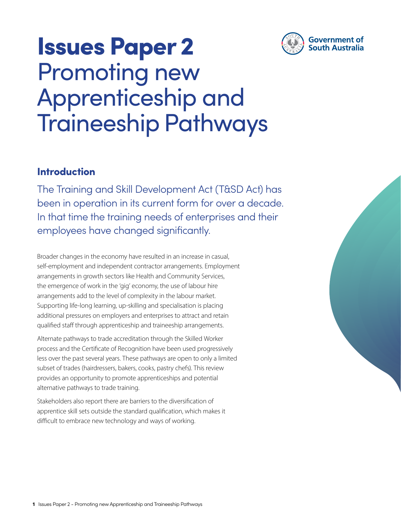

## Issues Paper 2 Promoting new Apprenticeship and Traineeship Pathways

### Introduction

The Training and Skill Development Act (T&SD Act) has been in operation in its current form for over a decade. In that time the training needs of enterprises and their employees have changed significantly.

Broader changes in the economy have resulted in an increase in casual, self-employment and independent contractor arrangements. Employment arrangements in growth sectors like Health and Community Services, the emergence of work in the 'gig' economy, the use of labour hire arrangements add to the level of complexity in the labour market. Supporting life-long learning, up-skilling and specialisation is placing additional pressures on employers and enterprises to attract and retain qualified staff through apprenticeship and traineeship arrangements.

Alternate pathways to trade accreditation through the Skilled Worker process and the Certificate of Recognition have been used progressively less over the past several years. These pathways are open to only a limited subset of trades (hairdressers, bakers, cooks, pastry chefs). This review provides an opportunity to promote apprenticeships and potential alternative pathways to trade training.

Stakeholders also report there are barriers to the diversification of apprentice skill sets outside the standard qualification, which makes it difficult to embrace new technology and ways of working.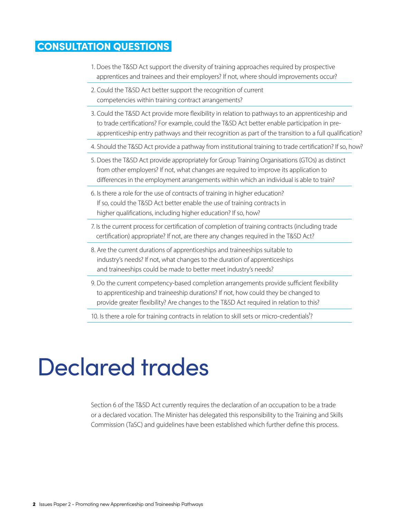### CONSULTATION QUESTIONS

- 1. Does the T&SD Act support the diversity of training approaches required by prospective apprentices and trainees and their employers? If not, where should improvements occur?
- 2. Could the T&SD Act better support the recognition of current competencies within training contract arrangements?
- 3. Could the T&SD Act provide more flexibility in relation to pathways to an apprenticeship and to trade certifications? For example, could the T&SD Act better enable participation in preapprenticeship entry pathways and their recognition as part of the transition to a full qualification?
- 4. Should the T&SD Act provide a pathway from institutional training to trade certification? If so, how?
- 5. Does the T&SD Act provide appropriately for Group Training Organisations (GTOs) as distinct from other employers? If not, what changes are required to improve its application to differences in the employment arrangements within which an individual is able to train?
- 6. Is there a role for the use of contracts of training in higher education? If so, could the T&SD Act better enable the use of training contracts in higher qualifications, including higher education? If so, how?
- 7. Is the current process for certification of completion of training contracts (including trade certification) appropriate? If not, are there any changes required in the T&SD Act?
- 8. Are the current durations of apprenticeships and traineeships suitable to industry's needs? If not, what changes to the duration of apprenticeships and traineeships could be made to better meet industry's needs?
- 9. Do the current competency-based completion arrangements provide sufficient flexibility to apprenticeship and traineeship durations? If not, how could they be changed to provide greater flexibility? Are changes to the T&SD Act required in relation to this?

10. Is there a role for training contracts in relation to skill sets or micro-credentials<sup>1</sup>?

### Declared trades

Section 6 of the T&SD Act currently requires the declaration of an occupation to be a trade or a declared vocation. The Minister has delegated this responsibility to the Training and Skills Commission (TaSC) and guidelines have been established which further define this process.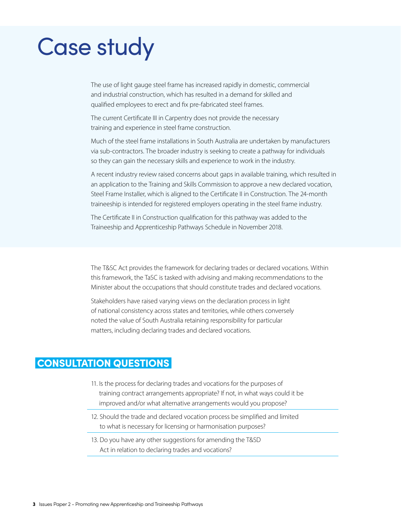# Case study

The use of light gauge steel frame has increased rapidly in domestic, commercial and industrial construction, which has resulted in a demand for skilled and qualified employees to erect and fix pre-fabricated steel frames.

The current Certificate III in Carpentry does not provide the necessary training and experience in steel frame construction.

Much of the steel frame installations in South Australia are undertaken by manufacturers via sub-contractors. The broader industry is seeking to create a pathway for individuals so they can gain the necessary skills and experience to work in the industry.

A recent industry review raised concerns about gaps in available training, which resulted in an application to the Training and Skills Commission to approve a new declared vocation, Steel Frame Installer, which is aligned to the Certificate II in Construction. The 24-month traineeship is intended for registered employers operating in the steel frame industry.

The Certificate II in Construction qualification for this pathway was added to the Traineeship and Apprenticeship Pathways Schedule in November 2018.

The T&SC Act provides the framework for declaring trades or declared vocations. Within this framework, the TaSC is tasked with advising and making recommendations to the Minister about the occupations that should constitute trades and declared vocations.

Stakeholders have raised varying views on the declaration process in light of national consistency across states and territories, while others conversely noted the value of South Australia retaining responsibility for particular matters, including declaring trades and declared vocations.

### CONSULTATION QUESTIONS

- 11. Is the process for declaring trades and vocations for the purposes of training contract arrangements appropriate? If not, in what ways could it be improved and/or what alternative arrangements would you propose?
- 12. Should the trade and declared vocation process be simplified and limited to what is necessary for licensing or harmonisation purposes?
- 13. Do you have any other suggestions for amending the T&SD Act in relation to declaring trades and vocations?